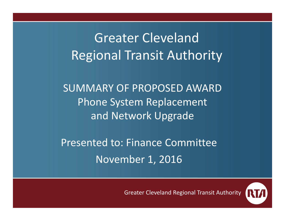Greater ClevelandRegional Transit Authority

SUMMARY OF PROPOSED AWARD Phone System Replacement and Network Upgrade

Presented to: Finance Committee November 1, 2016

Greater Cleveland Regional Transit Authority

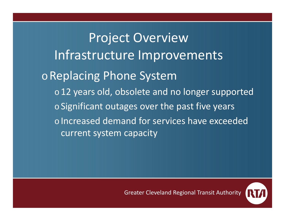Project Overview Infrastructure Improvements <sup>o</sup>Replacing Phone System  $\circ$  12 years old, obsolete and no longer supported  $\circ$  Significant outages over the past five years o Increased demand for services have exceeded current system capacity

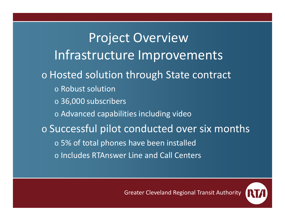Project Overview Infrastructure Improvements o Hosted solution through State contract o Robust solution  $\,\circ\,$  36,000 subscribers o Advanced capabilities including video  $\circ$  Successful pilot conducted over six months  $\circ$  5% of total phones have been installed o Includes RTAnswer Line and Call Centers

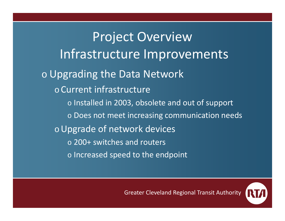Project Overview Infrastructure Improvements o Upgrading the Data Network o Current infrastructure  $\circ$  Installed in 2003, obsolete and out of support  $\circ$  Does not meet increasing communication needs <sup>o</sup>Upgrade of network devices o 200+ switches and routers  $\circ$  Increased speed to the endpoint

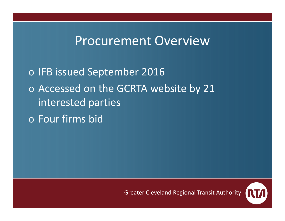## Procurement Overview

 $\, \circ \,$  IFB issued September 2016 o Accessed on the GCRTA website by 21 interested parties o Four firms bid

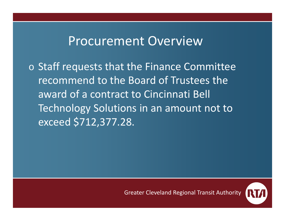## Procurement Overview

o Staff requests that the Finance Committee recommend to the Board of Trustees the award of <sup>a</sup> contract to Cincinnati Bell Technology Solutions in an amount not to exceed \$712,377.28.